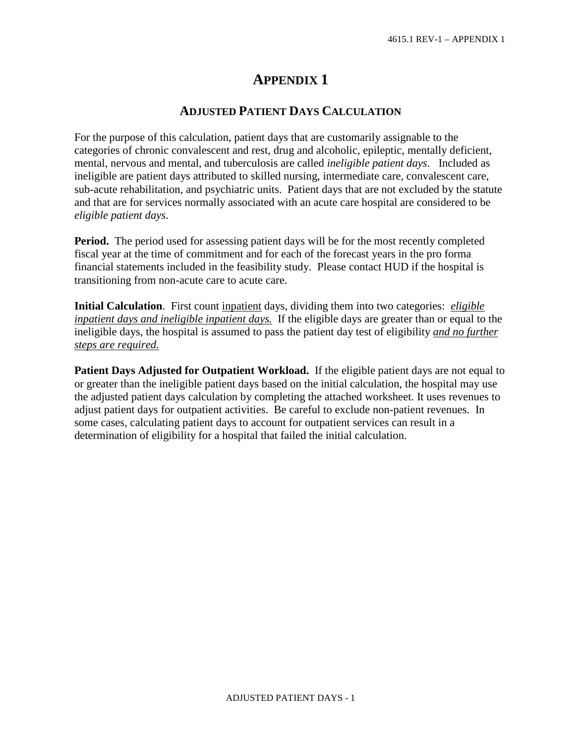## **APPENDIX 1**

## **ADJUSTED PATIENT DAYS CALCULATION**

For the purpose of this calculation, patient days that are customarily assignable to the categories of chronic convalescent and rest, drug and alcoholic, epileptic, mentally deficient, mental, nervous and mental, and tuberculosis are called *ineligible patient days*. Included as ineligible are patient days attributed to skilled nursing, intermediate care, convalescent care, sub-acute rehabilitation, and psychiatric units. Patient days that are not excluded by the statute and that are for services normally associated with an acute care hospital are considered to be *eligible patient days*.

**Period.** The period used for assessing patient days will be for the most recently completed fiscal year at the time of commitment and for each of the forecast years in the pro forma financial statements included in the feasibility study. Please contact HUD if the hospital is transitioning from non-acute care to acute care.

**Initial Calculation**. First count inpatient days, dividing them into two categories: *eligible inpatient days and ineligible inpatient days.* If the eligible days are greater than or equal to the ineligible days, the hospital is assumed to pass the patient day test of eligibility *and no further steps are required.*

**Patient Days Adjusted for Outpatient Workload.** If the eligible patient days are not equal to or greater than the ineligible patient days based on the initial calculation, the hospital may use the adjusted patient days calculation by completing the attached worksheet. It uses revenues to adjust patient days for outpatient activities. Be careful to exclude non-patient revenues. In some cases, calculating patient days to account for outpatient services can result in a determination of eligibility for a hospital that failed the initial calculation.